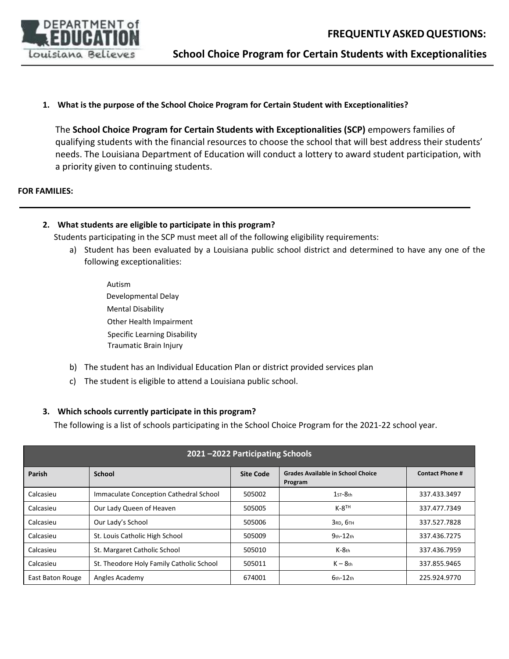

**School Choice Program for Certain Students with Exceptionalities**

**1. What is the purpose of the School Choice Program for Certain Student with Exceptionalities?** 

The **School Choice Program for Certain Students with Exceptionalities (SCP)** empowers families of qualifying students with the financial resources to choose the school that will best address their students' needs. The Louisiana Department of Education will conduct a lottery to award student participation, with a priority given to continuing students.

#### **FOR FAMILIES:**

#### **2. What students are eligible to participate in this program?**

Students participating in the SCP must meet all of the following eligibility requirements:

- a) Student has been evaluated by a Louisiana public school district and determined to have any one of the following exceptionalities:
	- Autism Developmental Delay Mental Disability Other Health Impairment Specific Learning Disability Traumatic Brain Injury
- b) The student has an Individual Education Plan or district provided services plan
- c) The student is eligible to attend a Louisiana public school.

#### **3. Which schools currently participate in this program?**

The following is a list of schools participating in the School Choice Program for the 2021-22 school year.

| 2021-2022 Participating Schools |                                          |                  |                                                     |                        |  |  |  |
|---------------------------------|------------------------------------------|------------------|-----------------------------------------------------|------------------------|--|--|--|
| Parish                          | School                                   | <b>Site Code</b> | <b>Grades Available in School Choice</b><br>Program | <b>Contact Phone #</b> |  |  |  |
| Calcasieu                       | Immaculate Conception Cathedral School   | 505002           | $1sT-8th$                                           | 337.433.3497           |  |  |  |
| Calcasieu                       | Our Lady Queen of Heaven                 | 505005           | $K-8$ <sup>TH</sup>                                 | 337.477.7349           |  |  |  |
| Calcasieu                       | Our Lady's School                        | 505006           | З ко, 6тн                                           | 337.527.7828           |  |  |  |
| Calcasieu                       | St. Louis Catholic High School           | 505009           | $9th - 12th$                                        | 337.436.7275           |  |  |  |
| Calcasieu                       | St. Margaret Catholic School             | 505010           | $K-8$ th                                            | 337.436.7959           |  |  |  |
| Calcasieu                       | St. Theodore Holy Family Catholic School | 505011           | $K-8$ th                                            | 337.855.9465           |  |  |  |
| East Baton Rouge                | Angles Academy                           | 674001           | $6th-12th$                                          | 225.924.9770           |  |  |  |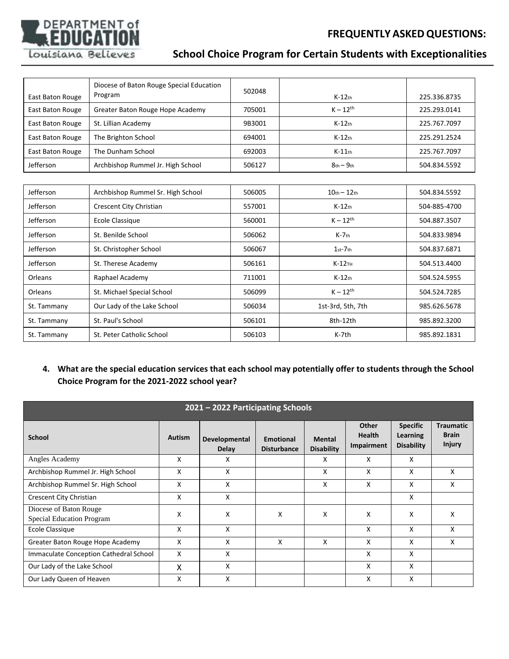## **FREQUENTLY ASKEDQUESTIONS:**



# **School Choice Program for Certain Students with Exceptionalities**

|                  | Diocese of Baton Rouge Special Education<br>Program | 502048 | $K-12$ th         | 225.336.8735 |
|------------------|-----------------------------------------------------|--------|-------------------|--------------|
| East Baton Rouge |                                                     |        |                   |              |
| East Baton Rouge | Greater Baton Rouge Hope Academy                    | 705001 | $K - 12^{th}$     | 225.293.0141 |
| East Baton Rouge | St. Lillian Academy                                 | 9B3001 | $K-12$ th         | 225.767.7097 |
| East Baton Rouge | The Brighton School                                 | 694001 | $K-12$ th         | 225.291.2524 |
| East Baton Rouge | The Dunham School                                   | 692003 | $K-11$ th         | 225.767.7097 |
| Jefferson        | Archbishop Rummel Jr. High School                   | 506127 | $8th - 9th$       | 504.834.5592 |
|                  |                                                     |        |                   |              |
| Jefferson        | Archbishop Rummel Sr. High School                   | 506005 | $10th - 12th$     | 504.834.5592 |
| Jefferson        | Crescent City Christian                             | 557001 | $K-12$ th         | 504-885-4700 |
| Jefferson        | <b>Ecole Classique</b>                              | 560001 | $K - 12^{th}$     | 504.887.3507 |
| Jefferson        | St. Benilde School                                  | 506062 | $K-7$ th          | 504.833.9894 |
| Jefferson        | St. Christopher School                              | 506067 | $1st-7th$         | 504.837.6871 |
| Jefferson        | St. Therese Academy                                 | 506161 | $K-12$ TH         | 504.513.4400 |
| Orleans          | Raphael Academy                                     | 711001 | $K-12$ th         | 504.524.5955 |
| Orleans          | St. Michael Special School                          | 506099 | $K - 12^{th}$     | 504.524.7285 |
| St. Tammany      | Our Lady of the Lake School                         | 506034 | 1st-3rd, 5th, 7th | 985.626.5678 |
| St. Tammany      | St. Paul's School                                   | 506101 | 8th-12th          | 985.892.3200 |
| St. Tammany      | St. Peter Catholic School                           | 506103 | K-7th             | 985.892.1831 |

## **4. What are the special education services that each school may potentially offer to students through the School Choice Program for the 2021-2022 school year?**

| 2021 - 2022 Participating Schools                   |               |                        |                                        |                                    |                                      |                                                  |                                                   |  |
|-----------------------------------------------------|---------------|------------------------|----------------------------------------|------------------------------------|--------------------------------------|--------------------------------------------------|---------------------------------------------------|--|
| <b>School</b>                                       | <b>Autism</b> | Developmental<br>Delay | <b>Emotional</b><br><b>Disturbance</b> | <b>Mental</b><br><b>Disability</b> | Other<br><b>Health</b><br>Impairment | <b>Specific</b><br>Learning<br><b>Disability</b> | <b>Traumatic</b><br><b>Brain</b><br><b>Injury</b> |  |
| Angles Academy                                      | X             | х                      |                                        | X.                                 | x                                    | X                                                |                                                   |  |
| Archbishop Rummel Jr. High School                   | X             | X                      |                                        | x                                  | x                                    | X                                                | x                                                 |  |
| Archbishop Rummel Sr. High School                   | X             | X                      |                                        | x                                  | x                                    | X                                                | x                                                 |  |
| Crescent City Christian                             | X             | X                      |                                        |                                    |                                      | X                                                |                                                   |  |
| Diocese of Baton Rouge<br>Special Education Program | X             | X                      | X                                      | X                                  | X                                    | X                                                | X                                                 |  |
| <b>Ecole Classique</b>                              | X             | X                      |                                        |                                    | x                                    | X                                                | x                                                 |  |
| Greater Baton Rouge Hope Academy                    | X             | x                      | X                                      | x                                  | x                                    | X                                                | x                                                 |  |
| Immaculate Conception Cathedral School              | X             | X                      |                                        |                                    | x                                    | X                                                |                                                   |  |
| Our Lady of the Lake School                         | x             | X                      |                                        |                                    | x                                    | X                                                |                                                   |  |
| Our Lady Queen of Heaven                            | X             | X                      |                                        |                                    | X                                    | X                                                |                                                   |  |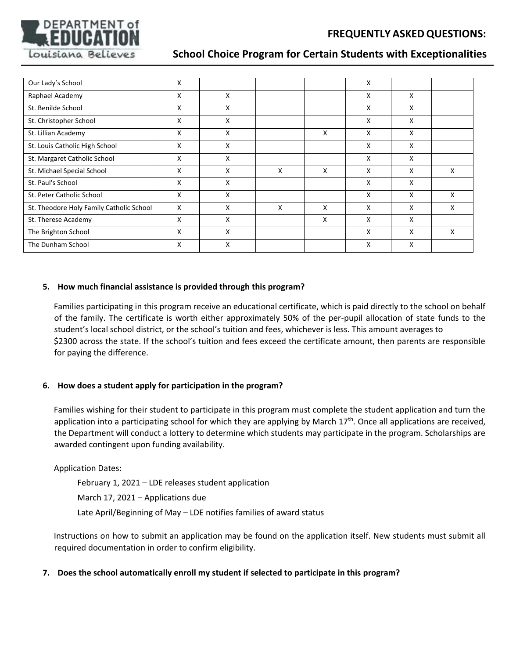

## **School Choice Program for Certain Students with Exceptionalities**

| Our Lady's School                        | X            |   |   |   | X |   |   |
|------------------------------------------|--------------|---|---|---|---|---|---|
| Raphael Academy                          | X            | x |   |   | x | X |   |
| St. Benilde School                       | X            | X |   |   | X | X |   |
| St. Christopher School                   | X            | X |   |   | X | X |   |
| St. Lillian Academy                      | X            | X |   | x | X | X |   |
| St. Louis Catholic High School           | X            | x |   |   | X | X |   |
| St. Margaret Catholic School             | x            | X |   |   | X | X |   |
| St. Michael Special School               | X            | X | X | X | X | X | X |
| St. Paul's School                        | X            | X |   |   | X | X |   |
| St. Peter Catholic School                | X            | X |   |   | X | X | X |
| St. Theodore Holy Family Catholic School | $\mathsf{x}$ | x | X | X | x | X | x |
| St. Therese Academy                      | X            | x |   | X | x | x |   |
| The Brighton School                      | X            | X |   |   | X | X | X |
| The Dunham School                        | X            | X |   |   | X | X |   |

## **5. How much financial assistance is provided through this program?**

Families participating in this program receive an educational certificate, which is paid directly to the school on behalf of the family. The certificate is worth either approximately 50% of the per-pupil allocation of state funds to the student's local school district, or the school's tuition and fees, whichever is less. This amount averages to \$2300 across the state. If the school's tuition and fees exceed the certificate amount, then parents are responsible for paying the difference.

## **6. How does a student apply for participation in the program?**

Families wishing for their student to participate in this program must complete the student application and turn the application into a participating school for which they are applying by March  $17<sup>th</sup>$ . Once all applications are received, the Department will conduct a lottery to determine which students may participate in the program. Scholarships are awarded contingent upon funding availability.

## Application Dates:

February 1, 2021 – LDE releases student application March 17, 2021 – Applications due Late April/Beginning of May – LDE notifies families of award status

Instructions on how to submit an application may be found on the application itself. New students must submit all required documentation in order to confirm eligibility.

## **7. Does the school automatically enroll my student if selected to participate in this program?**